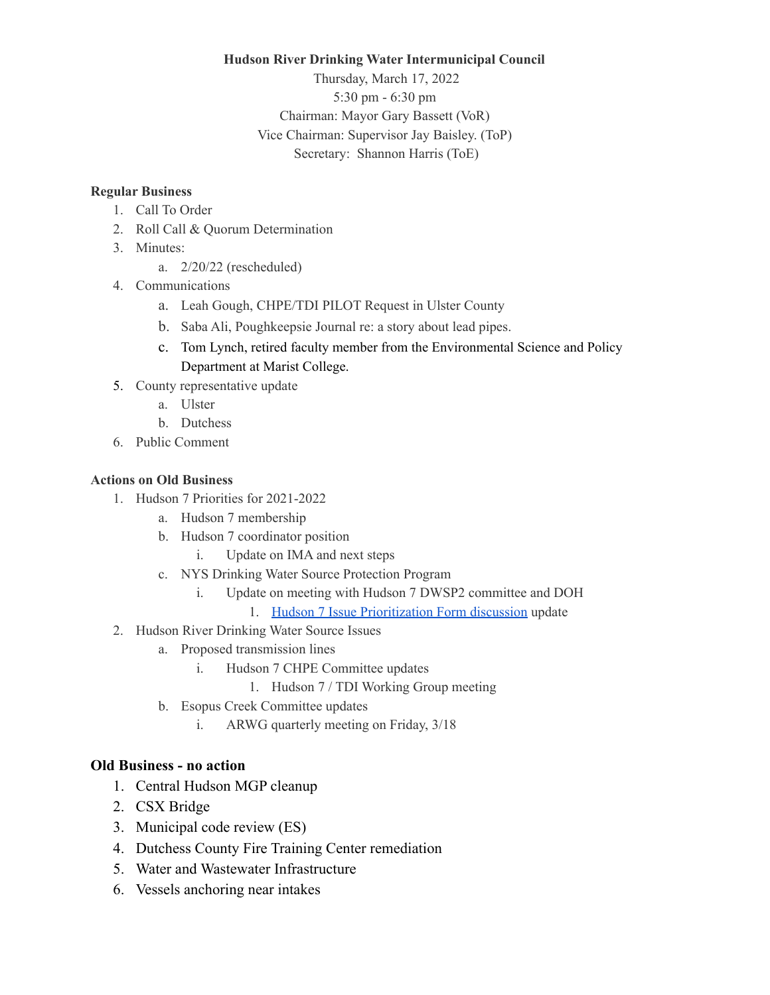## **Hudson River Drinking Water Intermunicipal Council**

Thursday, March 17, 2022 5:30 pm - 6:30 pm Chairman: Mayor Gary Bassett (VoR) Vice Chairman: Supervisor Jay Baisley. (ToP) Secretary: Shannon Harris (ToE)

## **Regular Business**

- 1. Call To Order
- 2. Roll Call & Quorum Determination
- 3. Minutes:
	- a. 2/20/22 (rescheduled)
- 4. Communications
	- a. Leah Gough, CHPE/TDI PILOT Request in Ulster County
	- b. Saba Ali, Poughkeepsie Journal re: a story about lead pipes.
	- c. Tom Lynch, retired faculty member from the Environmental Science and Policy Department at Marist College.
- 5. County representative update
	- a. Ulster
	- b. Dutchess
- 6. Public Comment

## **Actions on Old Business**

- 1. Hudson 7 Priorities for 2021-2022
	- a. Hudson 7 membership
	- b. Hudson 7 coordinator position
		- i. Update on IMA and next steps
	- c. NYS Drinking Water Source Protection Program
		- i. Update on meeting with Hudson 7 DWSP2 committee and DOH
			- 1. Hudson 7 Issue [Prioritization](https://docs.google.com/forms/d/e/1FAIpQLScKACHhH30Y9QoTyRAipGV8WNhDyxLee6Q2_T-SsLe2OJBQ6Q/viewform) Form discussion update
- 2. Hudson River Drinking Water Source Issues
	- a. Proposed transmission lines
		- i. Hudson 7 CHPE Committee updates
			- 1. Hudson 7 / TDI Working Group meeting
	- b. Esopus Creek Committee updates
		- i. ARWG quarterly meeting on Friday, 3/18

## **Old Business - no action**

- 1. Central Hudson MGP cleanup
- 2. CSX Bridge
- 3. Municipal code review (ES)
- 4. Dutchess County Fire Training Center remediation
- 5. Water and Wastewater Infrastructure
- 6. Vessels anchoring near intakes